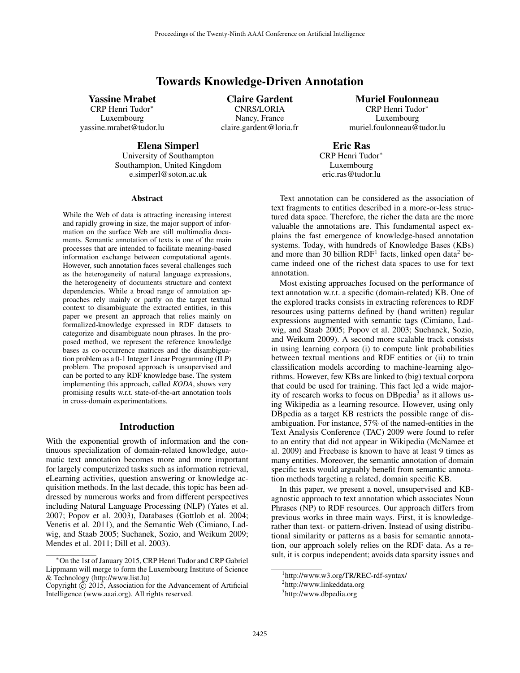# Towards Knowledge-Driven Annotation

# Yassine Mrabet

CRP Henri Tudor<sup>∗</sup> Luxembourg yassine.mrabet@tudor.lu

Claire Gardent CNRS/LORIA Nancy, France claire.gardent@loria.fr Muriel Foulonneau

CRP Henri Tudor<sup>∗</sup> Luxembourg muriel.foulonneau@tudor.lu

Elena Simperl

University of Southampton Southampton, United Kingdom e.simperl@soton.ac.uk

#### Abstract

While the Web of data is attracting increasing interest and rapidly growing in size, the major support of information on the surface Web are still multimedia documents. Semantic annotation of texts is one of the main processes that are intended to facilitate meaning-based information exchange between computational agents. However, such annotation faces several challenges such as the heterogeneity of natural language expressions, the heterogeneity of documents structure and context dependencies. While a broad range of annotation approaches rely mainly or partly on the target textual context to disambiguate the extracted entities, in this paper we present an approach that relies mainly on formalized-knowledge expressed in RDF datasets to categorize and disambiguate noun phrases. In the proposed method, we represent the reference knowledge bases as co-occurrence matrices and the disambiguation problem as a 0-1 Integer Linear Programming (ILP) problem. The proposed approach is unsupervised and can be ported to any RDF knowledge base. The system implementing this approach, called *KODA*, shows very promising results w.r.t. state-of-the-art annotation tools in cross-domain experimentations.

### Introduction

With the exponential growth of information and the continuous specialization of domain-related knowledge, automatic text annotation becomes more and more important for largely computerized tasks such as information retrieval, eLearning activities, question answering or knowledge acquisition methods. In the last decade, this topic has been addressed by numerous works and from different perspectives including Natural Language Processing (NLP) (Yates et al. 2007; Popov et al. 2003), Databases (Gottlob et al. 2004; Venetis et al. 2011), and the Semantic Web (Cimiano, Ladwig, and Staab 2005; Suchanek, Sozio, and Weikum 2009; Mendes et al. 2011; Dill et al. 2003).

Luxembourg eric.ras@tudor.lu Text annotation can be considered as the association of

Eric Ras CRP Henri Tudor<sup>∗</sup>

text fragments to entities described in a more-or-less structured data space. Therefore, the richer the data are the more valuable the annotations are. This fundamental aspect explains the fast emergence of knowledge-based annotation systems. Today, with hundreds of Knowledge Bases (KBs) and more than 30 billion  $RDF<sup>1</sup>$  facts, linked open data<sup>2</sup> became indeed one of the richest data spaces to use for text annotation.

Most existing approaches focused on the performance of text annotation w.r.t. a specific (domain-related) KB. One of the explored tracks consists in extracting references to RDF resources using patterns defined by (hand written) regular expressions augmented with semantic tags (Cimiano, Ladwig, and Staab 2005; Popov et al. 2003; Suchanek, Sozio, and Weikum 2009). A second more scalable track consists in using learning corpora (i) to compute link probabilities between textual mentions and RDF entities or (ii) to train classification models according to machine-learning algorithms. However, few KBs are linked to (big) textual corpora that could be used for training. This fact led a wide majority of research works to focus on DBpedia<sup>3</sup> as it allows using Wikipedia as a learning resource. However, using only DBpedia as a target KB restricts the possible range of disambiguation. For instance, 57% of the named-entities in the Text Analysis Conference (TAC) 2009 were found to refer to an entity that did not appear in Wikipedia (McNamee et al. 2009) and Freebase is known to have at least 9 times as many entities. Moreover, the semantic annotation of domain specific texts would arguably benefit from semantic annotation methods targeting a related, domain specific KB.

In this paper, we present a novel, unsupervised and KBagnostic approach to text annotation which associates Noun Phrases (NP) to RDF resources. Our approach differs from previous works in three main ways. First, it is knowledgerather than text- or pattern-driven. Instead of using distributional similarity or patterns as a basis for semantic annotation, our approach solely relies on the RDF data. As a result, it is corpus independent; avoids data sparsity issues and

<sup>∗</sup>On the 1st of January 2015, CRP Henri Tudor and CRP Gabriel Lippmann will merge to form the Luxembourg Institute of Science & Technology (http://www.list.lu)

Copyright  $\odot$  2015, Association for the Advancement of Artificial Intelligence (www.aaai.org). All rights reserved.

<sup>1</sup> http://www.w3.org/TR/REC-rdf-syntax/

<sup>2</sup> http://www.linkeddata.org

<sup>&</sup>lt;sup>3</sup>http://www.dbpedia.org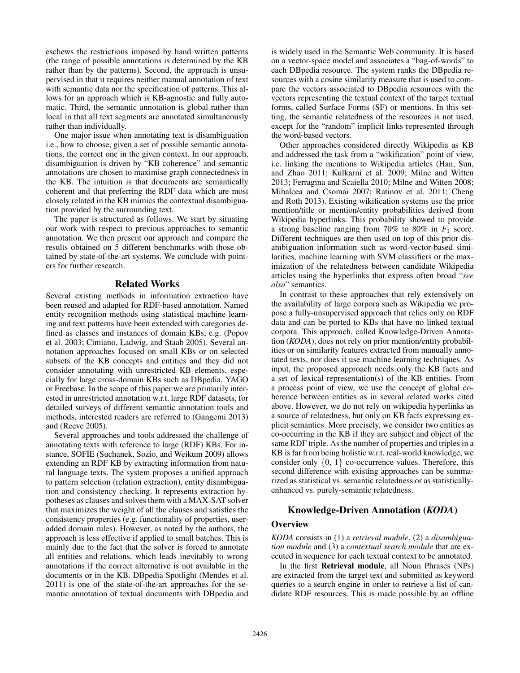eschews the restrictions imposed by hand written patterns (the range of possible annotations is determined by the KB rather than by the patterns). Second, the approach is unsupervised in that it requires neither manual annotation of text with semantic data nor the specification of patterns. This allows for an approach which is KB-agnostic and fully automatic. Third, the semantic annotation is global rather than local in that all text segments are annotated simultaneously rather than individually.

One major issue when annotating text is disambiguation i.e., how to choose, given a set of possible semantic annotations, the correct one in the given context. In our approach, disambiguation is driven by "KB coherence" and semantic annotations are chosen to maximise graph connectedness in the KB. The intuition is that documents are semantically coherent and that preferring the RDF data which are most closely related in the KB mimics the contextual disambiguation provided by the surrounding text.

The paper is structured as follows. We start by situating our work with respect to previous approaches to semantic annotation. We then present our approach and compare the results obtained on 5 different benchmarks with those obtained by state-of-the-art systems. We conclude with pointers for further research.

## Related Works

Several existing methods in information extraction have been reused and adapted for RDF-based annotation. Named entity recognition methods using statistical machine learning and text patterns have been extended with categories defined as classes and instances of domain KBs, e.g. (Popov et al. 2003; Cimiano, Ladwig, and Staab 2005). Several annotation approaches focused on small KBs or on selected subsets of the KB concepts and entities and they did not consider annotating with unrestricted KB elements, especially for large cross-domain KBs such as DBpedia, YAGO or Freebase. In the scope of this paper we are primarily interested in unrestricted annotation w.r.t. large RDF datasets, for detailed surveys of different semantic annotation tools and methods, interested readers are referred to (Gangemi 2013) and (Reeve 2005).

Several approaches and tools addressed the challenge of annotating texts with reference to large (RDF) KBs. For instance, SOFIE (Suchanek, Sozio, and Weikum 2009) allows extending an RDF KB by extracting information from natural language texts. The system proposes a unified approach to pattern selection (relation extraction), entity disambiguation and consistency checking. It represents extraction hypotheses as clauses and solves them with a MAX-SAT solver that maximizes the weight of all the clauses and satisfies the consistency properties (e.g. functionality of properties, useradded domain rules). However, as noted by the authors, the approach is less effective if applied to small batches. This is mainly due to the fact that the solver is forced to annotate all entities and relations, which leads inevitably to wrong annotations if the correct alternative is not available in the documents or in the KB. DBpedia Spotlight (Mendes et al. 2011) is one of the state-of-the-art approaches for the semantic annotation of textual documents with DBpedia and

is widely used in the Semantic Web community. It is based on a vector-space model and associates a "bag-of-words" to each DBpedia resource. The system ranks the DBpedia resources with a cosine similarity measure that is used to compare the vectors associated to DBpedia resources with the vectors representing the textual context of the target textual forms, called Surface Forms (SF) or mentions. In this setting, the semantic relatedness of the resources is not used, except for the "random" implicit links represented through the word-based vectors.

Other approaches considered directly Wikipedia as KB and addressed the task from a "wikification" point of view, i.e. linking the mentions to Wikipedia articles (Han, Sun, and Zhao 2011; Kulkarni et al. 2009; Milne and Witten 2013; Ferragina and Scaiella 2010; Milne and Witten 2008; Mihalcea and Csomai 2007; Ratinov et al. 2011; Cheng and Roth 2013). Existing wikification systems use the prior mention/title or mention/entity probabilities derived from Wikipedia hyperlinks. This probability showed to provide a strong baseline ranging from 70% to 80% in  $F_1$  score. Different techniques are then used on top of this prior disambiguation information such as word-vector-based similarities, machine learning with SVM classifiers or the maximization of the relatedness between candidate Wikipedia articles using the hyperlinks that express often broad "*see also*" semantics.

In contrast to these approaches that rely extensively on the availability of large corpora such as Wikipedia we propose a fully-unsupervised approach that relies only on RDF data and can be ported to KBs that have no linked textual corpora. This approach, called Knowledge-Driven Annotation (*KODA*), does not rely on prior mention/entity probabilities or on similarity features extracted from manually annotated texts, nor does it use machine learning techniques. As input, the proposed approach needs only the KB facts and a set of lexical representation(s) of the KB entities. From a process point of view, we use the concept of global coherence between entities as in several related works cited above. However, we do not rely on wikipedia hyperlinks as a source of relatedness, but only on KB facts expressing explicit semantics. More precisely, we consider two entities as co-occurring in the KB if they are subject and object of the same RDF triple. As the number of properties and triples in a KB is far from being holistic w.r.t. real-world knowledge, we consider only  $\{0, 1\}$  co-occurrence values. Therefore, this second difference with existing approaches can be summarized as statistical vs. semantic relatedness or as statisticallyenhanced vs. purely-semantic relatedness.

# Knowledge-Driven Annotation (*KODA*)

## **Overview**

*KODA* consists in (1) a *retrieval module*, (2) a *disambiguation module* and (3) a *contextual search module* that are executed in sequence for each textual context to be annotated.

In the first Retrieval module, all Noun Phrases (NPs) are extracted from the target text and submitted as keyword queries to a search engine in order to retrieve a list of candidate RDF resources. This is made possible by an offline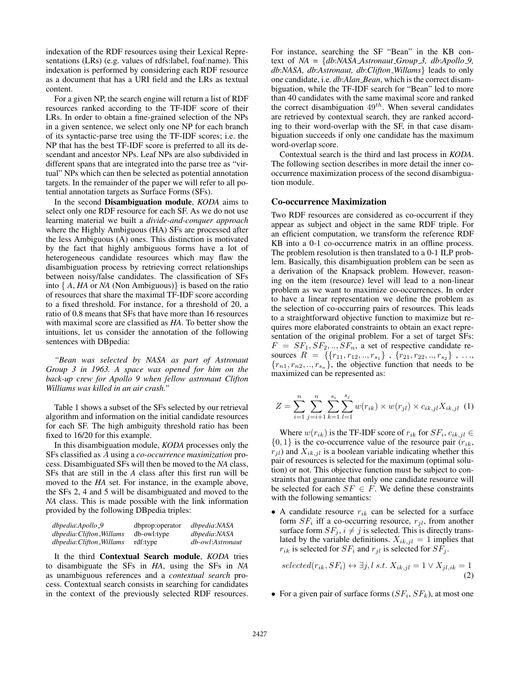indexation of the RDF resources using their Lexical Representations (LRs) (e.g. values of rdfs:label, foaf:name). This indexation is performed by considering each RDF resource as a document that has a URI field and the LRs as textual content.

For a given NP, the search engine will return a list of RDF resources ranked according to the TF-IDF score of their LRs. In order to obtain a fine-grained selection of the NPs in a given sentence, we select only one NP for each branch of its syntactic-parse tree using the TF-IDF scores; i.e. the NP that has the best TF-IDF score is preferred to all its descendant and ancestor NPs. Leaf NPs are also subdivided in different spans that are integrated into the parse tree as "virtual" NPs which can then be selected as potential annotation targets. In the remainder of the paper we will refer to all potential annotation targets as Surface Forms (SFs).

In the second Disambiguation module, *KODA* aims to select only one RDF resource for each SF. As we do not use learning material we built a *divide-and-conquer approach* where the Highly Ambiguous (HA) SFs are processed after the less Ambiguous (A) ones. This distinction is motivated by the fact that highly ambiguous forms have a lot of heterogeneous candidate resources which may flaw the disambiguation process by retrieving correct relationships between noisy/false candidates. The classification of SFs into { *A*, *HA* or *NA* (Non Ambiguous)} is based on the ratio of resources that share the maximal TF-IDF score according to a fixed threshold. For instance, for a threshold of 20, a ratio of 0.8 means that SFs that have more than 16 resources with maximal score are classified as *HA*. To better show the intuitions, let us consider the annotation of the following sentences with DBpedia:

*"Bean was selected by NASA as part of Astronaut Group 3 in 1963. A space was opened for him on the back-up crew for Apollo 9 when fellow astronaut Clifton Williams was killed in an air crash."*

Table 1 shows a subset of the SFs selected by our retrieval algorithm and information on the initial candidate resources for each SF. The high ambiguity threshold ratio has been fixed to 16/20 for this example.

In this disambiguation module, *KODA* processes only the SFs classified as A using a *co-occurrence maximization* process. Disambiguated SFs will then be moved to the *NA* class, SFs that are still in the *A* class after this first run will be moved to the *HA* set. For instance, in the example above, the SFs 2, 4 and 5 will be disambiguated and moved to the *NA* class. This is made possible with the link information provided by the following DBpedia triples:

| dbpedia:Apollo_9        | dbprop:operator | dbpedia:NASA     |
|-------------------------|-----------------|------------------|
| dbpedia:Clifton_Willams | db-owl:type     | dbpedia:NASA     |
| dbpedia:Clifton_Willams | rdf:type        | db-owl:Astronaut |

It the third Contextual Search module, *KODA* tries to disambiguate the SFs in *HA*, using the SFs in *NA* as unambiguous references and a *contextual search* process. Contextual search consists in searching for candidates in the context of the previously selected RDF resources. For instance, searching the SF "Bean" in the KB context of *NA* = {*db*:*NASA Astronaut Group 3, db*:*Apollo 9, db*:*NASA, db*:*Astronaut, db*:*Clifton Willams*} leads to only one candidate, i.e. *db*:*Alan Bean*, which is the correct disambiguation, while the TF-IDF search for "Bean" led to more than 40 candidates with the same maximal score and ranked the correct disambiguation  $49^{th}$ . When several candidates are retrieved by contextual search, they are ranked according to their word-overlap with the SF, in that case disambiguation succeeds if only one candidate has the maximum word-overlap score.

Contextual search is the third and last process in *KODA*. The following section describes in more detail the inner cooccurrence maximization process of the second disambiguation module.

### Co-occurrence Maximization

Two RDF resources are considered as co-occurrent if they appear as subject and object in the same RDF triple. For an efficient computation, we transform the reference RDF KB into a 0-1 co-occurrence matrix in an offline process. The problem resolution is then translated to a 0-1 ILP problem. Basically, this disambiguation problem can be seen as a derivation of the Knapsack problem. However, reasoning on the item (resource) level will lead to a non-linear problem as we want to maximize co-occurrences. In order to have a linear representation we define the problem as the selection of co-occurring pairs of resources. This leads to a straightforward objective function to maximize but requires more elaborated constraints to obtain an exact representation of the original problem. For a set of target SFs:  $F = SF_1, SF_2, ..., SF_n$ , a set of respective candidate resources  $R = \{\{r_{11}, r_{12}, .., r_{s_1}\}, \{r_{21}, r_{22}, .., r_{s_2}\}, ...,$  ${r_{n1}, r_{n2}, \ldots, r_{s_n}}$ , the objective function that needs to be maximized can be represented as:

$$
Z = \sum_{i=1}^{n} \sum_{j=i+1}^{n} \sum_{k=1}^{s_i} \sum_{l=1}^{s_j} w(r_{ik}) \times w(r_{jl}) \times c_{ik,jl} X_{ik,jl} \tag{1}
$$

Where  $w(r_{ik})$  is the TF-IDF score of  $r_{ik}$  for  $SF_i$ ,  $c_{ik,jl} \in$  $\{0, 1\}$  is the co-occurrence value of the resource pair  $(r_{ik},$  $r_{jl}$ ) and  $X_{ik,jl}$  is a boolean variable indicating whether this pair of resources is selected for the maximum (optimal solution) or not. This objective function must be subject to constraints that guarantee that only one candidate resource will be selected for each  $SF \in F$ . We define these constraints with the following semantics:

• A candidate resource  $r_{ik}$  can be selected for a surface form  $SF_i$  iff a co-occurring resource,  $r_{jl}$ , from another surface form  $SF_i$ ,  $i \neq j$  is selected. This is directly translated by the variable definitions.  $X_{ik,jl} = 1$  implies that  $r_{ik}$  is selected for  $SF_i$  and  $r_{jl}$  is selected for  $SF_j$ .

 $selected(r_{ik}, SF_i) \leftrightarrow \exists j, l \ s.t. \ X_{ik,jl} = 1 \lor X_{jl,ik} = 1$ (2)

• For a given pair of surface forms  $(SF_i, SF_k)$ , at most one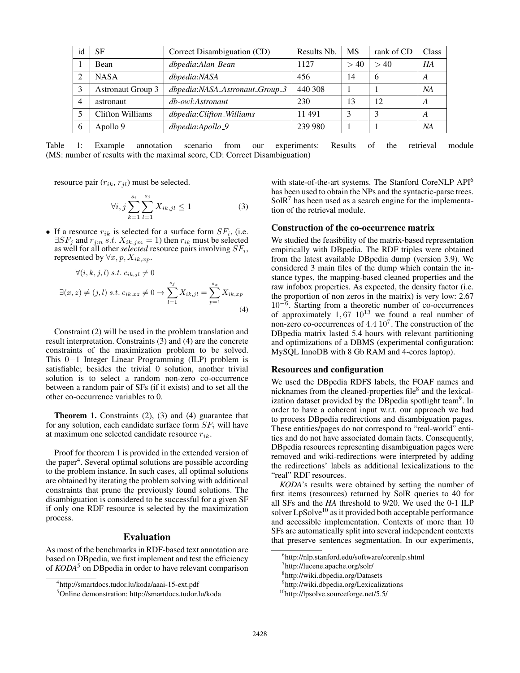| id             | <b>SF</b>                | Correct Disambiguation (CD)    | Results Nb. | MS   | rank of CD | Class            |
|----------------|--------------------------|--------------------------------|-------------|------|------------|------------------|
|                | Bean                     | dbpedia:Alan_Bean              | 1127        | > 40 | >40        | HA               |
| ∍              | <b>NASA</b>              | dbpedia:NASA                   | 456         | 14   | 6          | A                |
| 3              | <b>Astronaut Group 3</b> | dbpedia:NASA_Astronaut_Group_3 | 440 308     |      |            | NA               |
| $\overline{4}$ | astronaut                | db-owl:Astronaut               | 230         | 13   | 12         | A                |
|                | <b>Clifton Williams</b>  | dbpedia:Clifton_Williams       | 11491       | 2    | 3          | $\boldsymbol{A}$ |
| 6              | Apollo 9                 | dbpedia:Apollo_9               | 239 980     |      |            | NA               |

Table 1: Example annotation scenario from our experiments: Results of the retrieval module (MS: number of results with the maximal score, CD: Correct Disambiguation)

resource pair  $(r_{ik}, r_{jl})$  must be selected.

$$
\forall i, j \sum_{k=1}^{s_i} \sum_{l=1}^{s_j} X_{ik,jl} \le 1
$$
 (3)

• If a resource  $r_{ik}$  is selected for a surface form  $SF_i$ , (i.e.  $\exists SF_j$  and  $r_{jm}$  s.t.  $X_{ik,jm} = 1$ ) then  $r_{ik}$  must be selected as well for all other *selected* resource pairs involving  $SF_i$ , represented by  $\forall x, p, X_{ik, xp}$ .

$$
\forall (i, k, j, l) \ s.t. \ c_{ik,jl} \neq 0
$$
  

$$
\exists (x, z) \neq (j, l) \ s.t. \ c_{ik, xz} \neq 0 \rightarrow \sum_{l=1}^{s_j} X_{ik,jl} = \sum_{p=1}^{s_x} X_{ik, xp}
$$
  
(4)

Constraint (2) will be used in the problem translation and result interpretation. Constraints (3) and (4) are the concrete constraints of the maximization problem to be solved. This 0−1 Integer Linear Programming (ILP) problem is satisfiable; besides the trivial 0 solution, another trivial solution is to select a random non-zero co-occurrence between a random pair of SFs (if it exists) and to set all the other co-occurrence variables to 0.

Theorem 1. Constraints (2), (3) and (4) guarantee that for any solution, each candidate surface form  $SF_i$  will have at maximum one selected candidate resource  $r_{ik}$ .

Proof for theorem 1 is provided in the extended version of the paper<sup>4</sup>. Several optimal solutions are possible according to the problem instance. In such cases, all optimal solutions are obtained by iterating the problem solving with additional constraints that prune the previously found solutions. The disambiguation is considered to be successful for a given SF if only one RDF resource is selected by the maximization process.

## Evaluation

As most of the benchmarks in RDF-based text annotation are based on DBpedia, we first implement and test the efficiency of *KODA*<sup>5</sup> on DBpedia in order to have relevant comparison

with state-of-the-art systems. The Stanford CoreNLP API<sup>6</sup> has been used to obtain the NPs and the syntactic-parse trees.  $SolR<sup>7</sup>$  has been used as a search engine for the implementation of the retrieval module.

### Construction of the co-occurrence matrix

We studied the feasibility of the matrix-based representation empirically with DBpedia. The RDF triples were obtained from the latest available DBpedia dump (version 3.9). We considered 3 main files of the dump which contain the instance types, the mapping-based cleaned properties and the raw infobox properties. As expected, the density factor (i.e. the proportion of non zeros in the matrix) is very low: 2.67 10<sup>−</sup><sup>6</sup> . Starting from a theoretic number of co-occurrences of approximately  $1,67$   $10^{13}$  we found a real number of non-zero co-occurrences of  $4.4 \times 10^7$ . The construction of the DBpedia matrix lasted 5.4 hours with relevant partitioning and optimizations of a DBMS (experimental configuration: MySQL InnoDB with 8 Gb RAM and 4-cores laptop).

#### Resources and configuration

We used the DBpedia RDFS labels, the FOAF names and nicknames from the cleaned-properties file<sup>8</sup> and the lexicalization dataset provided by the DBpedia spotlight team<sup>9</sup>. In order to have a coherent input w.r.t. our approach we had to process DBpedia redirections and disambiguation pages. These entities/pages do not correspond to "real-world" entities and do not have associated domain facts. Consequently, DBpedia resources representing disambiguation pages were removed and wiki-redirections were interpreted by adding the redirections' labels as additional lexicalizations to the "real" RDF resources.

*KODA*'s results were obtained by setting the number of first items (resources) returned by SolR queries to 40 for all SFs and the *HA* threshold to 9/20. We used the 0-1 ILP solver  $LpSolve<sup>10</sup>$  as it provided both acceptable performance and accessible implementation. Contexts of more than 10 SFs are automatically split into several independent contexts that preserve sentences segmentation. In our experiments,

<sup>4</sup> http://smartdocs.tudor.lu/koda/aaai-15-ext.pdf

<sup>5</sup>Online demonstration: http://smartdocs.tudor.lu/koda

<sup>6</sup> http://nlp.stanford.edu/software/corenlp.shtml

<sup>7</sup> http://lucene.apache.org/solr/

<sup>8</sup> http://wiki.dbpedia.org/Datasets

<sup>9</sup> http://wiki.dbpedia.org/Lexicalizations

<sup>&</sup>lt;sup>10</sup>http://lpsolve.sourceforge.net/5.5/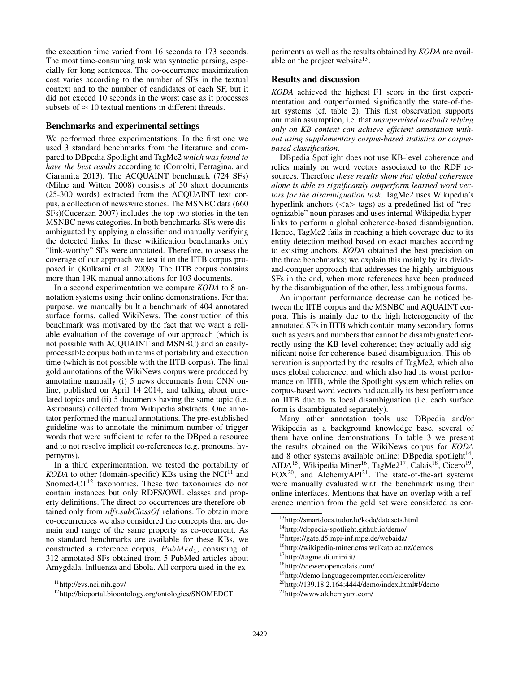the execution time varied from 16 seconds to 173 seconds. The most time-consuming task was syntactic parsing, especially for long sentences. The co-occurrence maximization cost varies according to the number of SFs in the textual context and to the number of candidates of each SF, but it did not exceed 10 seconds in the worst case as it processes subsets of  $\approx 10$  textual mentions in different threads.

## Benchmarks and experimental settings

We performed three experimentations. In the first one we used 3 standard benchmarks from the literature and compared to DBpedia Spotlight and TagMe2 *which was found to have the best results* according to (Cornolti, Ferragina, and Ciaramita 2013). The ACQUAINT benchmark (724 SFs) (Milne and Witten 2008) consists of 50 short documents (25-300 words) extracted from the ACQUAINT text corpus, a collection of newswire stories. The MSNBC data (660 SFs)(Cucerzan 2007) includes the top two stories in the ten MSNBC news categories. In both benchmarks SFs were disambiguated by applying a classifier and manually verifying the detected links. In these wikification benchmarks only "link-worthy" SFs were annotated. Therefore, to assess the coverage of our approach we test it on the IITB corpus proposed in (Kulkarni et al. 2009). The IITB corpus contains more than 19K manual annotations for 103 documents.

In a second experimentation we compare *KODA* to 8 annotation systems using their online demonstrations. For that purpose, we manually built a benchmark of 404 annotated surface forms, called WikiNews. The construction of this benchmark was motivated by the fact that we want a reliable evaluation of the coverage of our approach (which is not possible with ACQUAINT and MSNBC) and an easilyprocessable corpus both in terms of portability and execution time (which is not possible with the IITB corpus). The final gold annotations of the WikiNews corpus were produced by annotating manually (i) 5 news documents from CNN online, published on April 14 2014, and talking about unrelated topics and (ii) 5 documents having the same topic (i.e. Astronauts) collected from Wikipedia abstracts. One annotator performed the manual annotations. The pre-established guideline was to annotate the minimum number of trigger words that were sufficient to refer to the DBpedia resource and to not resolve implicit co-references (e.g. pronouns, hypernyms).

In a third experimentation, we tested the portability of *KODA* to other (domain-specific) KBs using the  $NCI<sup>11</sup>$  and Snomed-CT<sup>12</sup> taxonomies. These two taxonomies do not contain instances but only RDFS/OWL classes and property definitions. The direct co-occurrences are therefore obtained only from *rdfs*:*subClassOf* relations. To obtain more co-occurrences we also considered the concepts that are domain and range of the same property as co-occurrent. As no standard benchmarks are available for these KBs, we constructed a reference corpus,  $PubMed<sub>1</sub>$ , consisting of 312 annotated SFs obtained from 5 PubMed articles about Amygdala, Influenza and Ebola. All corpora used in the experiments as well as the results obtained by *KODA* are available on the project website $^{13}$ .

## Results and discussion

*KODA* achieved the highest F1 score in the first experimentation and outperformed significantly the state-of-theart systems (cf. table 2). This first observation supports our main assumption, i.e. that *unsupervised methods relying only on KB content can achieve efficient annotation without using supplementary corpus-based statistics or corpusbased classification*.

DBpedia Spotlight does not use KB-level coherence and relies mainly on word vectors associated to the RDF resources. Therefore *these results show that global coherence alone is able to significantly outperform learned word vectors for the disambiguation task*. TagMe2 uses Wikipedia's hyperlink anchors  $(\langle a \rangle$  tags) as a predefined list of "recognizable" noun phrases and uses internal Wikipedia hyperlinks to perform a global coherence-based disambiguation. Hence, TagMe2 fails in reaching a high coverage due to its entity detection method based on exact matches according to existing anchors. *KODA* obtained the best precision on the three benchmarks; we explain this mainly by its divideand-conquer approach that addresses the highly ambiguous SFs in the end, when more references have been produced by the disambiguation of the other, less ambiguous forms.

An important performance decrease can be noticed between the IITB corpus and the MSNBC and AQUAINT corpora. This is mainly due to the high heterogeneity of the annotated SFs in IITB which contain many secondary forms such as years and numbers that cannot be disambiguated correctly using the KB-level coherence; they actually add significant noise for coherence-based disambiguation. This observation is supported by the results of TagMe2, which also uses global coherence, and which also had its worst performance on IITB, while the Spotlight system which relies on corpus-based word vectors had actually its best performance on IITB due to its local disambiguation (i.e. each surface form is disambiguated separately).

Many other annotation tools use DBpedia and/or Wikipedia as a background knowledge base, several of them have online demonstrations. In table 3 we present the results obtained on the WikiNews corpus for *KODA* and 8 other systems available online: DBpedia spotlight $14$ , AIDA<sup>15</sup>, Wikipedia Miner<sup>16</sup>, TagMe2<sup>17</sup>, Calais<sup>18</sup>, Cicero<sup>19</sup>,  $FOX<sup>20</sup>$ , and AlchemyAPI<sup>21</sup>. The state-of-the-art systems were manually evaluated w.r.t. the benchmark using their online interfaces. Mentions that have an overlap with a reference mention from the gold set were considered as cor-

<sup>16</sup>http://wikipedia-miner.cms.waikato.ac.nz/demos <sup>17</sup>http://tagme.di.unipi.it/

<sup>11</sup>http://evs.nci.nih.gov/

<sup>12</sup>http://bioportal.bioontology.org/ontologies/SNOMEDCT

<sup>13</sup>http://smartdocs.tudor.lu/koda/datasets.html

<sup>14</sup>http://dbpedia-spotlight.github.io/demo/

<sup>15</sup>https://gate.d5.mpi-inf.mpg.de/webaida/

<sup>18</sup>http://viewer.opencalais.com/

<sup>19</sup>http://demo.languagecomputer.com/cicerolite/

<sup>20</sup>http://139.18.2.164:4444/demo/index.html#!/demo

<sup>21</sup>http://www.alchemyapi.com/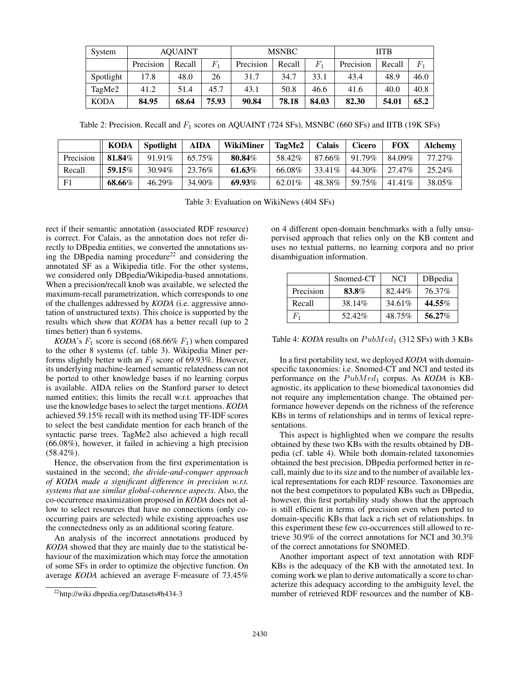| System      | <b>AOUAINT</b> |        |                             | <b>MSNBC</b> |        |             | <b>IITB</b> |        |                |
|-------------|----------------|--------|-----------------------------|--------------|--------|-------------|-------------|--------|----------------|
|             | Precision      | Recall | $F_{\scriptscriptstyle{1}}$ | Precision    | Recall | $F_{\rm 1}$ | Precision   | Recall | $\mathit{F}_1$ |
| Spotlight   | 17.8           | 48.0   | 26                          | 31.7         | 34.7   | 33.1        | 43.4        | 48.9   | 46.0           |
| TagMe2      | 41.2           | 51.4   | 45.7                        | 43.1         | 50.8   | 46.6        | 41.6        | 40.0   | 40.8           |
| <b>KODA</b> | 84.95          | 68.64  | 75.93                       | 90.84        | 78.18  | 84.03       | 82.30       | 54.01  | 65.2           |

Table 2: Precision, Recall and  $F_1$  scores on AQUAINT (724 SFs), MSNBC (660 SFs) and IITB (19K SFs)

|           | <b>KODA</b> | <b>Spotlight</b> | <b>AIDA</b> | WikiMiner | <b>TagMe2</b> | <b>Calais</b> | <b>Cicero</b> | FOX       | Alchemy |
|-----------|-------------|------------------|-------------|-----------|---------------|---------------|---------------|-----------|---------|
| Precision | 81.84%      | 91.91\%          | 65.75%      | 80.84%    | 58.42%        | 87.66%        | 91.79%        | 84.09%    | 77.27%  |
| Recall    | 59.15%      | 30.94%           | 23.76%      | 61.63%    | 66.08%        | 33.41\%       | 44.30%        | 27.47%    | 25.24%  |
| F1        | 68.66%      | 46.29%           | 34.90%      | 69.93%    | 62.01%        | 48.38%        | 59.75%        | $41.41\%$ | 38.05%  |

Table 3: Evaluation on WikiNews (404 SFs)

rect if their semantic annotation (associated RDF resource) is correct. For Calais, as the annotation does not refer directly to DBpedia entities, we converted the annotations using the DBpedia naming procedure<sup>22</sup> and considering the annotated SF as a Wikipedia title. For the other systems, we considered only DBpedia/Wikipedia-based annotations. When a precision/recall knob was available, we selected the maximum-recall parametrization, which corresponds to one of the challenges addressed by *KODA* (i.e. aggressive annotation of unstructured texts). This choice is supported by the results which show that *KODA* has a better recall (up to 2 times better) than 6 systems.

*KODA*'s  $F_1$  score is second (68.66%  $F_1$ ) when compared to the other 8 systems (cf. table 3). Wikipedia Miner performs slightly better with an  $F_1$  score of 69.93%. However, its underlying machine-learned semantic relatedness can not be ported to other knowledge bases if no learning corpus is available. AIDA relies on the Stanford parser to detect named entities; this limits the recall w.r.t. approaches that use the knowledge bases to select the target mentions. *KODA* achieved 59.15% recall with its method using TF-IDF scores to select the best candidate mention for each branch of the syntactic parse trees. TagMe2 also achieved a high recall (66.08%), however, it failed in achieving a high precision (58.42%).

Hence, the observation from the first experimentation is sustained in the second; *the divide-and-conquer approach of KODA made a significant difference in precision w.r.t. systems that use similar global-coherence aspects*. Also, the co-occurrence maximization proposed in *KODA* does not allow to select resources that have no connections (only cooccurring pairs are selected) while existing approaches use the connectedness only as an additional scoring feature.

An analysis of the incorrect annotations produced by *KODA* showed that they are mainly due to the statistical behaviour of the maximization which may force the annotation of some SFs in order to optimize the objective function. On average *KODA* achieved an average F-measure of 73.45%

on 4 different open-domain benchmarks with a fully unsupervised approach that relies only on the KB content and uses no textual patterns, no learning corpora and no prior disambiguation information.

|           | Snomed-CT | NCI    | DB pedia  |
|-----------|-----------|--------|-----------|
| Precision | 83.8%     | 82.44% | 76.37%    |
| Recall    | 38.14%    | 34.61% | 44.55%    |
| $F_1$     | 52.42%    | 48.75% | $56.27\%$ |

Table 4: *KODA* results on  $PubMed<sub>1</sub>$  (312 SFs) with 3 KBs

In a first portability test, we deployed *KODA* with domainspecific taxonomies: i.e. Snomed-CT and NCI and tested its performance on the  $PubMed<sub>1</sub>$  corpus. As *KODA* is KBagnostic, its application to these biomedical taxonomies did not require any implementation change. The obtained performance however depends on the richness of the reference KBs in terms of relationships and in terms of lexical representations.

This aspect is highlighted when we compare the results obtained by these two KBs with the results obtained by DBpedia (cf. table 4). While both domain-related taxonomies obtained the best precision, DBpedia performed better in recall, mainly due to its size and to the number of available lexical representations for each RDF resource. Taxonomies are not the best competitors to populated KBs such as DBpedia, however, this first portability study shows that the approach is still efficient in terms of precision even when ported to domain-specific KBs that lack a rich set of relationships. In this experiment these few co-occurrences still allowed to retrieve 30.9% of the correct annotations for NCI and 30.3% of the correct annotations for SNOMED.

Another important aspect of text annotation with RDF KBs is the adequacy of the KB with the annotated text. In coming work we plan to derive automatically a score to characterize this adequacy according to the ambiguity level, the number of retrieved RDF resources and the number of KB-

<sup>22</sup>http://wiki.dbpedia.org/Datasets#h434-3